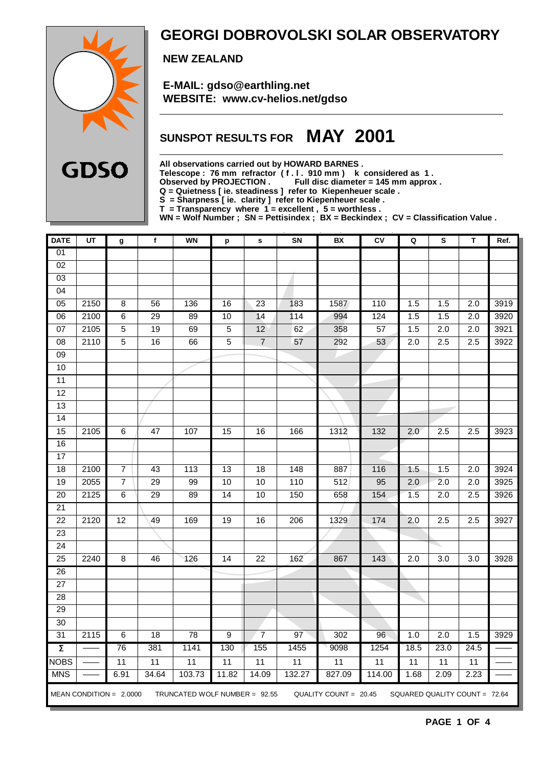

### **GEORGI DOBROVOLSKI SOLAR OBSERVATORY**

 **NEW ZEALAND**

 **E-MAIL: gdso@earthling.net WEBSITE: www.cv-helios.net/gdso**

## **SUNSPOT RESULTS FOR MAY 2001**

**All observations carried out by HOWARD BARNES .**

**Telescope : 76 mm refractor ( f . l . 910 mm ) k considered as 1 .**

Observed by PROJECTION . Full disc diameter = 145 mm approx .

**Q = Quietness [ ie. steadiness ] refer to Kiepenheuer scale .**

**S = Sharpness [ ie. clarity ] refer to Kiepenheuer scale .**

**T = Transparency where 1 = excellent , 5 = worthless .**

**WN = Wolf Number ; SN = Pettisindex ; BX = Beckindex ; CV = Classification Value .**

| <b>DATE</b>         | UT   | g                         | f               | <b>WN</b>                       | p                | $\mathbf s$     | SN               | BX                    | CV     | Q                | S                             | T                | Ref. |
|---------------------|------|---------------------------|-----------------|---------------------------------|------------------|-----------------|------------------|-----------------------|--------|------------------|-------------------------------|------------------|------|
| 01                  |      |                           |                 |                                 |                  |                 |                  |                       |        |                  |                               |                  |      |
| $\overline{02}$     |      |                           |                 |                                 |                  |                 |                  |                       |        |                  |                               |                  |      |
| 03                  |      |                           |                 |                                 |                  |                 |                  |                       |        |                  |                               |                  |      |
| 04                  |      |                           |                 |                                 |                  |                 |                  |                       |        |                  |                               |                  |      |
| 05                  | 2150 | 8                         | 56              | 136                             | 16               | 23              | 183              | 1587                  | 110    | 1.5              | 1.5                           | 2.0              | 3919 |
| 06                  | 2100 | 6                         | $\overline{29}$ | 89                              | $10$             | 14              | $\overline{114}$ | 994                   | 124    | 1.5              | 1.5                           | 2.0              | 3920 |
| $\overline{07}$     | 2105 | $\overline{5}$            | 19              | 69                              | $\overline{5}$   | 12              | 62               | 358                   | 57     | 1.5              | 2.0                           | $\overline{2.0}$ | 3921 |
| 08                  | 2110 | $\overline{5}$            | 16              | 66                              | $\overline{5}$   | $\overline{7}$  | 57               | 292                   | 53     | 2.0              | 2.5                           | 2.5              | 3922 |
| 09                  |      |                           |                 |                                 |                  |                 |                  |                       |        |                  |                               |                  |      |
| $\overline{10}$     |      |                           |                 |                                 |                  |                 |                  |                       |        |                  |                               |                  |      |
| $\overline{11}$     |      |                           |                 |                                 |                  |                 |                  |                       |        |                  |                               |                  |      |
| $\overline{12}$     |      |                           |                 |                                 |                  |                 |                  |                       |        |                  |                               |                  |      |
| $\overline{13}$     |      |                           |                 |                                 |                  |                 |                  |                       |        |                  |                               |                  |      |
| 14                  |      |                           |                 |                                 |                  |                 |                  |                       |        |                  |                               |                  |      |
| 15                  | 2105 | 6                         | $\overline{47}$ | 107                             | $\overline{15}$  | 16              | 166              | 1312                  | 132    | 2.0              | 2.5                           | 2.5              | 3923 |
| 16                  |      |                           |                 |                                 |                  |                 |                  |                       |        |                  |                               |                  |      |
| $\overline{17}$     |      |                           |                 |                                 |                  |                 |                  |                       |        |                  |                               |                  |      |
| 18                  | 2100 | 7                         | 43              | 113                             | 13               | 18              | 148              | 887                   | 116    | 1.5              | 1.5                           | $\overline{2.0}$ | 3924 |
| 19                  | 2055 | 7                         | $\overline{29}$ | 99                              | 10               | 10              | 110              | 512                   | 95     | $\overline{2.0}$ | 2.0                           | $\overline{2.0}$ | 3925 |
| $\overline{20}$     | 2125 | 6                         | 29              | 89                              | $\overline{14}$  | 10              | 150              | 658                   | 154    | 1.5              | $\overline{2.0}$              | 2.5              | 3926 |
| $\overline{21}$     |      |                           |                 |                                 |                  |                 |                  |                       |        |                  |                               |                  |      |
| $\overline{22}$     | 2120 | $\overline{12}$           | 49              | 169                             | 19               | 16              | 206              | 1329                  | 174    | 2.0              | 2.5                           | 2.5              | 3927 |
| 23                  |      |                           |                 |                                 |                  |                 |                  |                       |        |                  |                               |                  |      |
| $\overline{24}$     |      |                           |                 |                                 |                  |                 |                  |                       |        |                  |                               |                  |      |
| 25                  | 2240 | 8                         | 46              | 126                             | 14               | $\overline{22}$ | 162              | 867                   | 143    | 2.0              | $\overline{3.0}$              | 3.0              | 3928 |
| 26                  |      |                           |                 |                                 |                  |                 |                  |                       |        |                  |                               |                  |      |
| 27                  |      |                           |                 |                                 |                  |                 |                  |                       |        |                  |                               |                  |      |
| 28                  |      |                           |                 |                                 |                  |                 |                  |                       |        |                  |                               |                  |      |
| $\overline{29}$     |      |                           |                 |                                 |                  |                 |                  |                       |        |                  |                               |                  |      |
| $\overline{30}$     |      |                           |                 |                                 |                  |                 |                  |                       |        |                  |                               |                  |      |
| 31                  | 2115 | 6                         | 18              | $\overline{78}$                 | $\boldsymbol{9}$ | $\overline{7}$  | 97               | 302                   | 96     | 1.0              | 2.0                           | 1.5              | 3929 |
| $\overline{\Sigma}$ |      | 76                        | 381             | 1141                            | 130              | 155             | 1455             | 9098                  | 1254   | 18.5             | 23.0                          | 24.5             |      |
| <b>NOBS</b>         |      | 11                        | $\overline{11}$ | $\overline{11}$                 | 11               | $\overline{11}$ | $\overline{11}$  | 11                    | 11     | 11               | 11                            | $\overline{11}$  |      |
| <b>MNS</b>          |      | 6.91                      | 34.64           | 103.73                          | 11.82            | 14.09           | 132.27           | 827.09                | 114.00 | 1.68             | 2.09                          | 2.23             |      |
|                     |      | MEAN CONDITION = $2.0000$ |                 | TRUNCATED WOLF NUMBER = $92.55$ |                  |                 |                  | QUALITY COUNT = 20.45 |        |                  | SQUARED QUALITY COUNT = 72.64 |                  |      |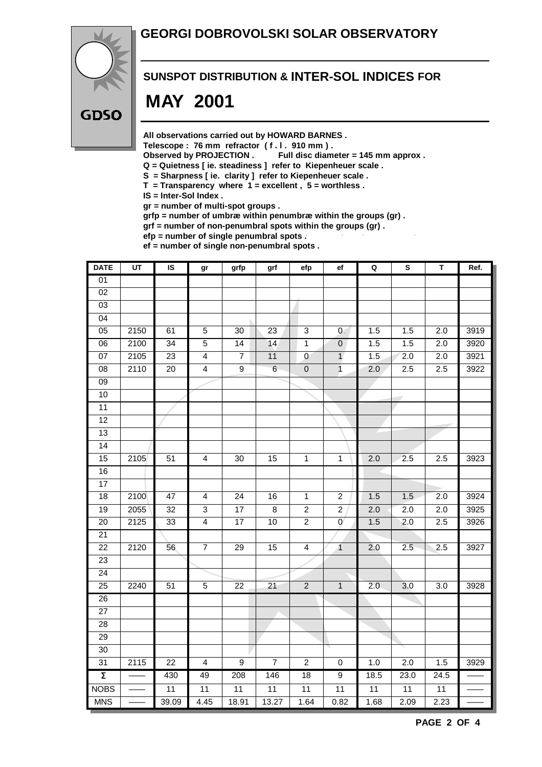### **GEORGI DOBROVOLSKI SOLAR OBSERVATORY**



### **SUNSPOT DISTRIBUTION & INTER-SOL INDICES FOR**

# **MAY 2001**

**All observations carried out by HOWARD BARNES .**

Telescope : 76 mm refractor (f. l. 910 mm).<br>Observed by PROJECTION . Full disc diam

Full disc diameter = 145 mm approx .

- **Q = Quietness [ ie. steadiness ] refer to Kiepenheuer scale .**
- **S = Sharpness [ ie. clarity ] refer to Kiepenheuer scale .**
- **T = Transparency where 1 = excellent , 5 = worthless .**
- **IS = Inter-Sol Index .**

**gr = number of multi-spot groups .**

**grfp = number of umbræ within penumbræ within the groups (gr) .**

**grf = number of non-penumbral spots within the groups (gr) .**

**efp = number of single penumbral spots . ef = number of single non-penumbral spots .**

| <b>DATE</b>         | $\overline{UT}$  | IS              | gr                      | grfp             | grf                     | efp                     | ef              | $\mathbf Q$     | ${\bf s}$        | T                | Ref. |
|---------------------|------------------|-----------------|-------------------------|------------------|-------------------------|-------------------------|-----------------|-----------------|------------------|------------------|------|
| 01                  |                  |                 |                         |                  |                         |                         |                 |                 |                  |                  |      |
| 02                  |                  |                 |                         |                  |                         |                         |                 |                 |                  |                  |      |
| $\overline{03}$     |                  |                 |                         |                  |                         |                         |                 |                 |                  |                  |      |
| 04                  |                  |                 |                         |                  |                         |                         |                 |                 |                  |                  |      |
| 05                  | 2150             | 61              | $\overline{5}$          | $\overline{30}$  | $\overline{23}$         | $\overline{3}$          | $\mathbf{0}$    | 1.5             | 1.5              | $\overline{2.0}$ | 3919 |
| 06                  | 2100             | 34              | $\overline{5}$          | 14               | 14                      | $\mathbf{1}$            | $\pmb{0}$       | 1.5             | 1.5              | 2.0              | 3920 |
| 07                  | 2105             | $\overline{23}$ | $\overline{4}$          | $\overline{7}$   | 11                      | $\overline{0}$          | $\overline{1}$  | 1.5             | 2.0              | $\overline{2.0}$ | 3921 |
| 08                  | 2110             | 20              | $\overline{4}$          | $\boldsymbol{9}$ | $\,6$                   | $\pmb{0}$               | $\mathbf{1}$    | 2.0             | 2.5              | 2.5              | 3922 |
| 09                  |                  |                 |                         |                  |                         |                         |                 |                 |                  |                  |      |
| 10                  |                  |                 |                         |                  |                         |                         |                 |                 |                  |                  |      |
| 11                  |                  |                 |                         |                  |                         |                         |                 |                 |                  |                  |      |
| 12                  |                  |                 |                         |                  |                         |                         |                 |                 |                  |                  |      |
| $\overline{13}$     |                  |                 |                         |                  |                         |                         |                 |                 |                  |                  |      |
| $\overline{14}$     |                  |                 |                         |                  |                         |                         |                 |                 |                  |                  |      |
| 15                  | 2105             | $\overline{51}$ | $\overline{4}$          | $\overline{30}$  | $\overline{15}$         | $\overline{1}$          | $\overline{1}$  | 2.0             | 2.5              | $\overline{2.5}$ | 3923 |
| 16                  |                  |                 |                         |                  |                         |                         |                 |                 |                  |                  |      |
| 17                  |                  |                 |                         |                  |                         |                         |                 |                 |                  |                  |      |
| $\overline{18}$     | 2100             | 47              | $\overline{\mathbf{4}}$ | 24               | 16                      | $\mathbf{1}$            | $\overline{c}$  | 1.5             | 1.5              | 2.0              | 3924 |
| 19                  | 2055             | $\overline{32}$ | $\overline{3}$          | $\overline{17}$  | $\overline{\mathbf{8}}$ | $\overline{2}$          | $\overline{2}$  | 2.0             | 2.0              | 2.0              | 3925 |
| $\overline{20}$     | 2125             | 33              | $\overline{4}$          | 17               | 10                      | $\overline{2}$          | $\mathbf 0$     | 1.5             | 2.0              | 2.5              | 3926 |
| 21                  |                  |                 |                         |                  |                         |                         |                 |                 |                  |                  |      |
| $\overline{22}$     | 2120             | 56              | $\overline{7}$          | 29               | 15                      | $\overline{\mathbf{4}}$ | $\overline{1}$  | 2.0             | 2.5              | 2.5              | 3927 |
| 23                  |                  |                 |                         |                  |                         |                         |                 |                 |                  |                  |      |
| $\overline{24}$     |                  |                 |                         |                  |                         |                         |                 |                 |                  |                  |      |
| 25                  | 2240             | 51              | 5                       | 22               | 21                      | $\sqrt{2}$              | $\mathbf{1}$    | 2.0             | 3.0              | 3.0              | 3928 |
| 26                  |                  |                 |                         |                  |                         |                         |                 |                 |                  |                  |      |
| $\overline{27}$     |                  |                 |                         |                  |                         |                         |                 |                 |                  |                  |      |
| 28                  |                  |                 |                         |                  |                         |                         |                 |                 |                  |                  |      |
| 29                  |                  |                 |                         |                  |                         |                         |                 |                 |                  |                  |      |
| 30                  |                  |                 |                         |                  |                         |                         |                 |                 |                  |                  |      |
| 31                  | $\frac{1}{2115}$ | $\overline{22}$ | $\overline{\mathbf{4}}$ | $\overline{9}$   | $\overline{7}$          | $\overline{2}$          | 0               | 1.0             | $\overline{2.0}$ | 1.5              | 3929 |
| $\overline{\Sigma}$ |                  | 430             | 49                      | 208              | 146                     | 18                      | $\overline{9}$  | 18.5            | 23.0             | 24.5             |      |
| <b>NOBS</b>         |                  | $\overline{11}$ | 11                      | 11               | $\overline{11}$         | $\overline{11}$         | $\overline{11}$ | $\overline{11}$ | $\overline{11}$  | $\overline{11}$  |      |
| <b>MNS</b>          |                  | 39.09           | 4.45                    | 18.91            | 13.27                   | 1.64                    | 0.82            | 1.68            | 2.09             | 2.23             |      |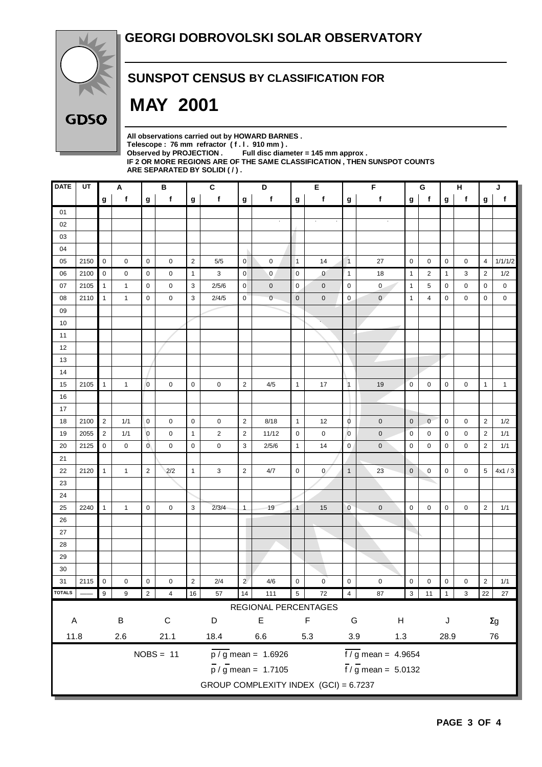

### **SUNSPOT CENSUS BY CLASSIFICATION FOR**

# **MAY 2001**

**All observations carried out by HOWARD BARNES .** Telescope : 76 mm refractor (f. l. 910 mm).<br>Observed by PROJECTION . Full disc diam Full disc diameter = 145 mm approx . **IF 2 OR MORE REGIONS ARE OF THE SAME CLASSIFICATION , THEN SUNSPOT COUNTS ARE SEPARATED BY SOLIDI ( / ) .**

| <b>DATE</b>                                                          | UT   |                | Α            |                | B           |                | $\mathbf c$    |                    | D                               |                | F<br>Е       |                |                                 |              | G<br>н         |   |             | J              |              |
|----------------------------------------------------------------------|------|----------------|--------------|----------------|-------------|----------------|----------------|--------------------|---------------------------------|----------------|--------------|----------------|---------------------------------|--------------|----------------|---|-------------|----------------|--------------|
|                                                                      |      | g              | $\mathbf{f}$ | g              | f           | $\mathbf g$    | f              | g                  | f                               | g              | f            | g              | f                               | g            | $\mathbf{f}$   | g | $\mathbf f$ | g              | f            |
| 01                                                                   |      |                |              |                |             |                |                |                    |                                 |                |              |                |                                 |              |                |   |             |                |              |
| 02                                                                   |      |                |              |                |             |                |                |                    |                                 |                |              |                |                                 |              |                |   |             |                |              |
| 03                                                                   |      |                |              |                |             |                |                |                    |                                 |                |              |                |                                 |              |                |   |             |                |              |
| 04                                                                   |      |                |              |                |             |                |                |                    |                                 |                |              |                |                                 |              |                |   |             |                |              |
| 05                                                                   | 2150 | 0              | 0            | 0              | 0           | $\overline{2}$ | 5/5            | $\pmb{0}$          | 0                               | $\vert$ 1      | 14           | $\overline{1}$ | 27                              | 0            | 0              | 0 | 0           | $\overline{4}$ | 1/1/1/2      |
| 06                                                                   | 2100 | $\pmb{0}$      | 0            | $\mathbf 0$    | 0           | $\mathbf{1}$   | 3              | $\mathbf 0$        | 0                               | $\overline{0}$ | $\mathbf{0}$ | $\mathbf{1}$   | 18                              | $\mathbf{1}$ | $\overline{2}$ | 1 | 3           | $\overline{2}$ | 1/2          |
| 07                                                                   | 2105 | $\mathbf{1}$   | $\mathbf{1}$ | 0              | 0           | 3              | 2/5/6          | $\mathbf 0$        | $\mathbf 0$                     | 0              | $\mathbf 0$  | $\mathbf 0$    | 0                               | $\mathbf{1}$ | 5              | 0 | 0           | 0              | 0            |
| 08                                                                   | 2110 | $\mathbf{1}$   | $\mathbf{1}$ | $\mathbf 0$    | 0           | 3              | 2/4/5          | $\mathbf 0$        | $\mathbf 0$                     | $\mathbf 0$    | $\mathbf 0$  | $\mathbf 0$    | $\mathbf{0}$                    | $\mathbf{1}$ | 4              | 0 | 0           | 0              | 0            |
| 09                                                                   |      |                |              |                |             |                |                |                    |                                 |                |              |                |                                 |              |                |   |             |                |              |
| 10                                                                   |      |                |              |                |             |                |                |                    |                                 |                |              |                |                                 |              |                |   |             |                |              |
| 11                                                                   |      |                |              |                |             |                |                |                    |                                 |                |              |                |                                 |              |                |   |             |                |              |
| 12                                                                   |      |                |              |                |             |                |                |                    |                                 |                |              |                |                                 |              |                |   |             |                |              |
| 13                                                                   |      |                |              |                |             |                |                |                    |                                 |                |              |                |                                 |              |                |   |             |                |              |
| 14                                                                   |      |                |              |                |             |                |                |                    |                                 |                |              |                |                                 |              |                |   |             |                |              |
| 15                                                                   | 2105 | $\mathbf{1}$   | $\mathbf{1}$ | $\mathbf 0$    | $\mathbf 0$ | $\mathbf 0$    | 0              | $\overline{2}$     | 4/5                             | $\mathbf{1}$   | 17           | $\vert$ 1      | 19                              | $\pmb{0}$    | $\mathbf 0$    | 0 | 0           | $\mathbf{1}$   | $\mathbf{1}$ |
| 16                                                                   |      |                |              |                |             |                |                |                    |                                 |                |              |                |                                 |              |                |   |             |                |              |
| 17                                                                   |      |                |              |                |             |                |                |                    |                                 |                |              |                |                                 |              |                |   |             |                |              |
| 18                                                                   | 2100 | $\overline{2}$ | 1/1          | $\mathbf 0$    | $\mathbf 0$ | $\mathbf 0$    | 0              | $\sqrt{2}$         | 8/18                            | $\mathbf{1}$   | 12           | $\overline{0}$ | $\mathbf 0$                     | $\mathbf 0$  | $\mathbf{0}$   | 0 | $\mathbf 0$ | 2              | 1/2          |
| 19                                                                   | 2055 | $\overline{2}$ | 1/1          | $\overline{0}$ | $\mathbf 0$ | $\mathbf{1}$   | $\overline{2}$ | $\sqrt{2}$         | 11/12                           | $\mathbf 0$    | $\mathbf 0$  | $\mathbf 0$    | $\pmb{0}$                       | $\mathbf 0$  | 0              | 0 | 0           | $\overline{2}$ | 1/1          |
| 20                                                                   | 2125 | $\pmb{0}$      | 0            | $\overline{0}$ | 0           | $\pmb{0}$      | 0              | 3                  | 2/5/6                           | $\mathbf{1}$   | 14           | $\pmb{0}$      | $\mathbf 0$                     | 0            | $\mathbf 0$    | 0 | 0           | $\overline{2}$ | 1/1          |
| 21                                                                   |      |                |              |                |             |                |                |                    |                                 |                |              |                |                                 |              |                |   |             |                |              |
| 22                                                                   | 2120 | $\mathbf{1}$   | $\mathbf{1}$ | $\overline{2}$ | 2/2         | $\mathbf{1}$   | 3              | $\overline{2}$     | 4/7                             | $\mathbf 0$    | $\mathbf{0}$ | $\mathbf{1}$   | 23                              | $\mathbf 0$  | 0              | 0 | 0           | 5              | 4x1/3        |
| 23                                                                   |      |                |              |                |             |                |                |                    |                                 |                |              |                |                                 |              |                |   |             |                |              |
| 24                                                                   |      |                |              |                |             |                |                |                    |                                 |                |              |                |                                 |              |                |   |             |                |              |
| 25                                                                   | 2240 | $\mathbf{1}$   | $\mathbf{1}$ | $\mathbf 0$    | $\mathbf 0$ | 3              | 2/3/4          | $\overline{1}$     | 19                              | $\overline{1}$ | 15           | $\mathbf 0$    | $\pmb{0}$                       | $\pmb{0}$    | $\mathbf 0$    | 0 | 0           | $\overline{2}$ | 1/1          |
| 26                                                                   |      |                |              |                |             |                |                |                    |                                 |                |              |                |                                 |              |                |   |             |                |              |
| 27                                                                   |      |                |              |                |             |                |                |                    |                                 |                |              |                |                                 |              |                |   |             |                |              |
| 28                                                                   |      |                |              |                |             |                |                |                    |                                 |                |              |                |                                 |              |                |   |             |                |              |
| 29                                                                   |      |                |              |                |             |                |                |                    |                                 |                |              |                |                                 |              |                |   |             |                |              |
| 30                                                                   |      |                |              |                |             |                |                |                    |                                 |                |              |                |                                 |              |                |   |             |                |              |
| 31                                                                   | 2115 | $\pmb{0}$      | 0            | $\pmb{0}$      | 0           | $\mathbf 2$    | 2/4            | $\overline{a}$     | 4/6                             | $\pmb{0}$      | $\mathbf 0$  | $\pmb{0}$      | $\pmb{0}$                       | $\pmb{0}$    | $\pmb{0}$      | 0 | 0           | $\overline{c}$ | 1/1          |
| <b>OTALS</b>                                                         |      | 9              | 9            |                |             | 16             | 57             | 14                 | 111                             | $\sqrt{5}$     | 72           | 4              | 87                              | 3            | 11             |   | 3           | 22             | 27           |
|                                                                      |      |                |              |                |             |                |                |                    | REGIONAL PERCENTAGES            |                |              |                |                                 |              |                |   |             |                |              |
| A                                                                    |      |                | $\sf B$      |                | $\mathsf C$ |                | D              |                    | E                               |                | F            | G              | $\boldsymbol{\mathsf{H}}$       |              |                | J |             |                | $\Sigma g$   |
| 11.8<br>21.1<br>2.6                                                  |      |                | 18.4         | $6.6\,$<br>5.3 |             |                |                | $3.9\,$<br>$1.3\,$ |                                 |                |              | 28.9           |                                 |              | 76             |   |             |                |              |
|                                                                      |      |                |              |                | $NOBS = 11$ |                |                |                    | $\frac{1}{p / g}$ mean = 1.6926 |                |              |                | $\frac{1}{6}$ / g mean = 4.9654 |              |                |   |             |                |              |
| $\frac{1}{\pi}$ / g mean = 5.0132<br>$\frac{1}{p}$ / g mean = 1.7105 |      |                |              |                |             |                |                |                    |                                 |                |              |                |                                 |              |                |   |             |                |              |
|                                                                      |      |                |              |                |             |                |                |                    |                                 |                |              |                |                                 |              |                |   |             |                |              |
| GROUP COMPLEXITY INDEX (GCI) = 6.7237                                |      |                |              |                |             |                |                |                    |                                 |                |              |                |                                 |              |                |   |             |                |              |